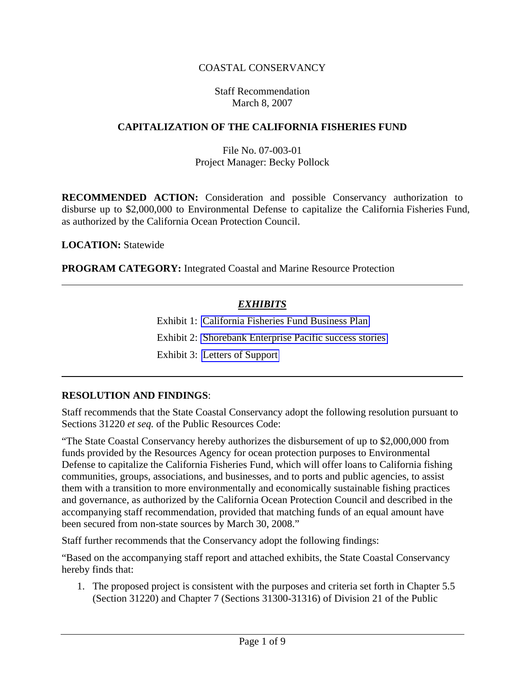## COASTAL CONSERVANCY

#### Staff Recommendation March 8, 2007

#### **CAPITALIZATION OF THE CALIFORNIA FISHERIES FUND**

### File No. 07-003-01 Project Manager: Becky Pollock

**RECOMMENDED ACTION:** Consideration and possible Conservancy authorization to disburse up to \$2,000,000 to Environmental Defense to capitalize the California Fisheries Fund, as authorized by the California Ocean Protection Council.

 **LOCATION:** Statewide

 **PROGRAM CATEGORY:** Integrated Coastal and Marine Resource Protection

## *EXHIBITS*

Exhibit 1: California Fisheries Fund Business Plan

Exhibit 2: Shorebank Enterprise Pacific success stories

Exhibit 3: Letters of Support

### **RESOLUTION AND FINDINGS**:

Staff recommends that the State Coastal Conservancy adopt the following resolution pursuant to Sections 31220 *et seq.* of the Public Resources Code:

"The State Coastal Conservancy hereby authorizes the disbursement of up to \$2,000,000 from funds provided by the Resources Agency for ocean protection purposes to Environmental Defense to capitalize the California Fisheries Fund, which will offer loans to California fishing communities, groups, associations, and businesses, and to ports and public agencies, to assist them with a transition to more environmentally and economically sustainable fishing practices and governance, as authorized by the California Ocean Protection Council and described in the accompanying staff recommendation, provided that matching funds of an equal amount have been secured from non-state sources by March 30, 2008."

Staff further recommends that the Conservancy adopt the following findings:

"Based on the accompanying staff report and attached exhibits, the State Coastal Conservancy hereby finds that:

1. The proposed project is consistent with the purposes and criteria set forth in Chapter 5.5 (Section 31220) and Chapter 7 (Sections 31300-31316) of Division 21 of the Public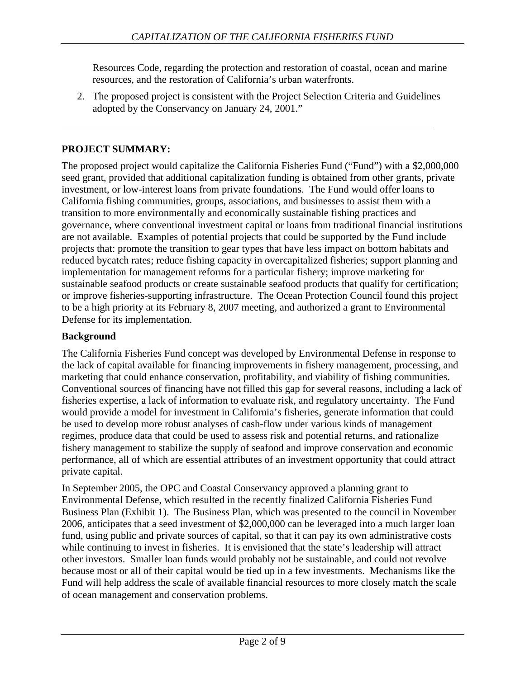Resources Code, regarding the protection and restoration of coastal, ocean and marine resources, and the restoration of California's urban waterfronts.

2. The proposed project is consistent with the Project Selection Criteria and Guidelines adopted by the Conservancy on January 24, 2001."

# **PROJECT SUMMARY:**

The proposed project would capitalize the California Fisheries Fund ("Fund") with a \$2,000,000 seed grant, provided that additional capitalization funding is obtained from other grants, private investment, or low-interest loans from private foundations. The Fund would offer loans to California fishing communities, groups, associations, and businesses to assist them with a transition to more environmentally and economically sustainable fishing practices and governance, where conventional investment capital or loans from traditional financial institutions are not available. Examples of potential projects that could be supported by the Fund include projects that: promote the transition to gear types that have less impact on bottom habitats and reduced bycatch rates; reduce fishing capacity in overcapitalized fisheries; support planning and implementation for management reforms for a particular fishery; improve marketing for sustainable seafood products or create sustainable seafood products that qualify for certification; or improve fisheries-supporting infrastructure. The Ocean Protection Council found this project to be a high priority at its February 8, 2007 meeting, and authorized a grant to Environmental Defense for its implementation.

### **Background**

The California Fisheries Fund concept was developed by Environmental Defense in response to the lack of capital available for financing improvements in fishery management, processing, and marketing that could enhance conservation, profitability, and viability of fishing communities. Conventional sources of financing have not filled this gap for several reasons, including a lack of fisheries expertise, a lack of information to evaluate risk, and regulatory uncertainty. The Fund would provide a model for investment in California's fisheries, generate information that could be used to develop more robust analyses of cash-flow under various kinds of management regimes, produce data that could be used to assess risk and potential returns, and rationalize fishery management to stabilize the supply of seafood and improve conservation and economic performance, all of which are essential attributes of an investment opportunity that could attract private capital.

In September 2005, the OPC and Coastal Conservancy approved a planning grant to Environmental Defense, which resulted in the recently finalized California Fisheries Fund Business Plan (Exhibit 1). The Business Plan, which was presented to the council in November 2006, anticipates that a seed investment of \$2,000,000 can be leveraged into a much larger loan fund, using public and private sources of capital, so that it can pay its own administrative costs while continuing to invest in fisheries. It is envisioned that the state's leadership will attract other investors. Smaller loan funds would probably not be sustainable, and could not revolve because most or all of their capital would be tied up in a few investments. Mechanisms like the Fund will help address the scale of available financial resources to more closely match the scale of ocean management and conservation problems.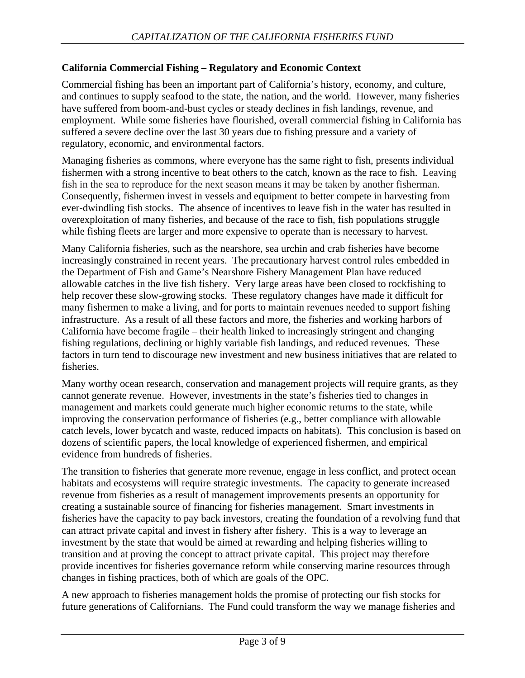## **California Commercial Fishing – Regulatory and Economic Context**

Commercial fishing has been an important part of California's history, economy, and culture, and continues to supply seafood to the state, the nation, and the world. However, many fisheries have suffered from boom-and-bust cycles or steady declines in fish landings, revenue, and employment. While some fisheries have flourished, overall commercial fishing in California has suffered a severe decline over the last 30 years due to fishing pressure and a variety of regulatory, economic, and environmental factors.

Managing fisheries as commons, where everyone has the same right to fish, presents individual fishermen with a strong incentive to beat others to the catch, known as the race to fish. Leaving fish in the sea to reproduce for the next season means it may be taken by another fisherman. Consequently, fishermen invest in vessels and equipment to better compete in harvesting from ever-dwindling fish stocks. The absence of incentives to leave fish in the water has resulted in overexploitation of many fisheries, and because of the race to fish, fish populations struggle while fishing fleets are larger and more expensive to operate than is necessary to harvest.

Many California fisheries, such as the nearshore, sea urchin and crab fisheries have become increasingly constrained in recent years. The precautionary harvest control rules embedded in the Department of Fish and Game's Nearshore Fishery Management Plan have reduced allowable catches in the live fish fishery. Very large areas have been closed to rockfishing to help recover these slow-growing stocks. These regulatory changes have made it difficult for many fishermen to make a living, and for ports to maintain revenues needed to support fishing infrastructure. As a result of all these factors and more, the fisheries and working harbors of California have become fragile – their health linked to increasingly stringent and changing fishing regulations, declining or highly variable fish landings, and reduced revenues. These factors in turn tend to discourage new investment and new business initiatives that are related to fisheries.

Many worthy ocean research, conservation and management projects will require grants, as they cannot generate revenue. However, investments in the state's fisheries tied to changes in management and markets could generate much higher economic returns to the state, while improving the conservation performance of fisheries (e.g., better compliance with allowable catch levels, lower bycatch and waste, reduced impacts on habitats). This conclusion is based on dozens of scientific papers, the local knowledge of experienced fishermen, and empirical evidence from hundreds of fisheries.

The transition to fisheries that generate more revenue, engage in less conflict, and protect ocean habitats and ecosystems will require strategic investments. The capacity to generate increased revenue from fisheries as a result of management improvements presents an opportunity for creating a sustainable source of financing for fisheries management. Smart investments in fisheries have the capacity to pay back investors, creating the foundation of a revolving fund that can attract private capital and invest in fishery after fishery. This is a way to leverage an investment by the state that would be aimed at rewarding and helping fisheries willing to transition and at proving the concept to attract private capital. This project may therefore provide incentives for fisheries governance reform while conserving marine resources through changes in fishing practices, both of which are goals of the OPC.

A new approach to fisheries management holds the promise of protecting our fish stocks for future generations of Californians. The Fund could transform the way we manage fisheries and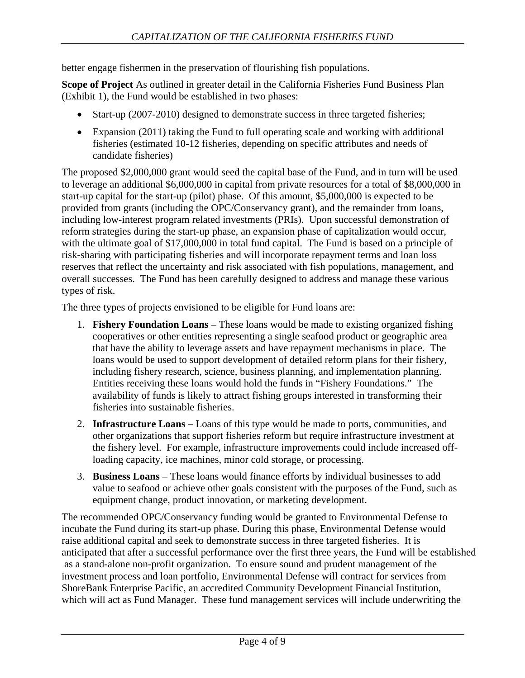better engage fishermen in the preservation of flourishing fish populations.

**Scope of Project** As outlined in greater detail in the California Fisheries Fund Business Plan (Exhibit 1), the Fund would be established in two phases:

- Start-up (2007-2010) designed to demonstrate success in three targeted fisheries;
- Expansion (2011) taking the Fund to full operating scale and working with additional fisheries (estimated 10-12 fisheries, depending on specific attributes and needs of candidate fisheries)

The proposed \$2,000,000 grant would seed the capital base of the Fund, and in turn will be used to leverage an additional \$6,000,000 in capital from private resources for a total of \$8,000,000 in start-up capital for the start-up (pilot) phase. Of this amount, \$5,000,000 is expected to be provided from grants (including the OPC/Conservancy grant), and the remainder from loans, including low-interest program related investments (PRIs). Upon successful demonstration of reform strategies during the start-up phase, an expansion phase of capitalization would occur, with the ultimate goal of \$17,000,000 in total fund capital. The Fund is based on a principle of risk-sharing with participating fisheries and will incorporate repayment terms and loan loss reserves that reflect the uncertainty and risk associated with fish populations, management, and overall successes. The Fund has been carefully designed to address and manage these various types of risk.

The three types of projects envisioned to be eligible for Fund loans are:

- 1. **Fishery Foundation Loans** These loans would be made to existing organized fishing cooperatives or other entities representing a single seafood product or geographic area that have the ability to leverage assets and have repayment mechanisms in place. The loans would be used to support development of detailed reform plans for their fishery, including fishery research, science, business planning, and implementation planning. Entities receiving these loans would hold the funds in "Fishery Foundations." The availability of funds is likely to attract fishing groups interested in transforming their fisheries into sustainable fisheries.
- 2. **Infrastructure Loans** Loans of this type would be made to ports, communities, and other organizations that support fisheries reform but require infrastructure investment at the fishery level. For example, infrastructure improvements could include increased offloading capacity, ice machines, minor cold storage, or processing.
- 3. **Business Loans** These loans would finance efforts by individual businesses to add value to seafood or achieve other goals consistent with the purposes of the Fund, such as equipment change, product innovation, or marketing development.

The recommended OPC/Conservancy funding would be granted to Environmental Defense to incubate the Fund during its start-up phase. During this phase, Environmental Defense would raise additional capital and seek to demonstrate success in three targeted fisheries. It is anticipated that after a successful performance over the first three years, the Fund will be established as a stand-alone non-profit organization. To ensure sound and prudent management of the investment process and loan portfolio, Environmental Defense will contract for services from ShoreBank Enterprise Pacific, an accredited Community Development Financial Institution, which will act as Fund Manager. These fund management services will include underwriting the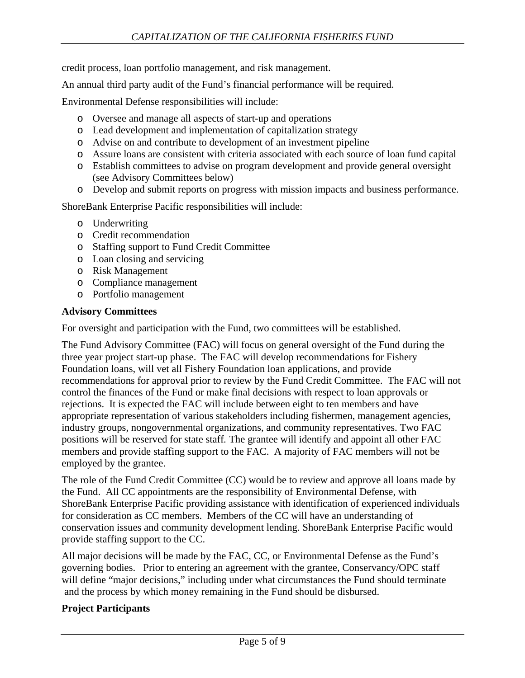credit process, loan portfolio management, and risk management.

An annual third party audit of the Fund's financial performance will be required.

Environmental Defense responsibilities will include:

- o Oversee and manage all aspects of start-up and operations
- o Lead development and implementation of capitalization strategy
- o Advise on and contribute to development of an investment pipeline
- o Assure loans are consistent with criteria associated with each source of loan fund capital
- o Establish committees to advise on program development and provide general oversight (see Advisory Committees below)
- o Develop and submit reports on progress with mission impacts and business performance.

ShoreBank Enterprise Pacific responsibilities will include:

- o Underwriting
- o Credit recommendation
- o Staffing support to Fund Credit Committee
- o Loan closing and servicing
- o Risk Management
- o Compliance management
- o Portfolio management

### **Advisory Committees**

For oversight and participation with the Fund, two committees will be established.

The Fund Advisory Committee (FAC) will focus on general oversight of the Fund during the three year project start-up phase. The FAC will develop recommendations for Fishery Foundation loans, will vet all Fishery Foundation loan applications, and provide recommendations for approval prior to review by the Fund Credit Committee. The FAC will not control the finances of the Fund or make final decisions with respect to loan approvals or rejections. It is expected the FAC will include between eight to ten members and have appropriate representation of various stakeholders including fishermen, management agencies, industry groups, nongovernmental organizations, and community representatives. Two FAC positions will be reserved for state staff*.* The grantee will identify and appoint all other FAC members and provide staffing support to the FAC. A majority of FAC members will not be employed by the grantee.

The role of the Fund Credit Committee (CC) would be to review and approve all loans made by the Fund. All CC appointments are the responsibility of Environmental Defense, with ShoreBank Enterprise Pacific providing assistance with identification of experienced individuals for consideration as CC members. Members of the CC will have an understanding of conservation issues and community development lending. ShoreBank Enterprise Pacific would provide staffing support to the CC.

All major decisions will be made by the FAC, CC, or Environmental Defense as the Fund's governing bodies. Prior to entering an agreement with the grantee, Conservancy/OPC staff will define "major decisions," including under what circumstances the Fund should terminate and the process by which money remaining in the Fund should be disbursed.

# **Project Participants**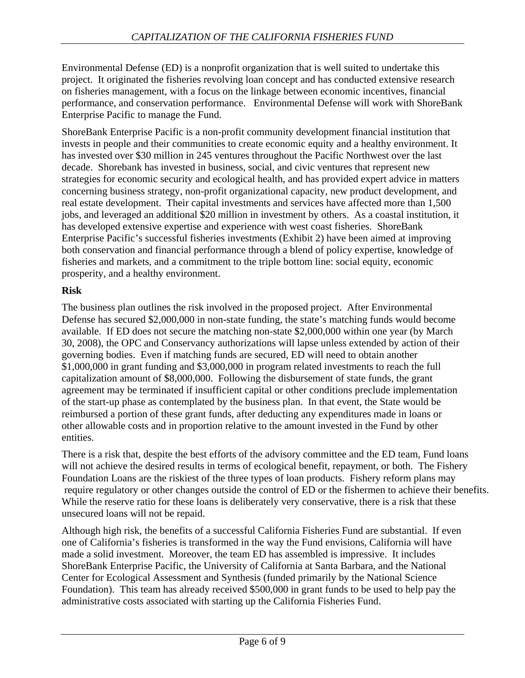Environmental Defense (ED) is a nonprofit organization that is well suited to undertake this project. It originated the fisheries revolving loan concept and has conducted extensive research on fisheries management, with a focus on the linkage between economic incentives, financial performance, and conservation performance. Environmental Defense will work with ShoreBank Enterprise Pacific to manage the Fund.

ShoreBank Enterprise Pacific is a non-profit community development financial institution that invests in people and their communities to create economic equity and a healthy environment. It has invested over \$30 million in 245 ventures throughout the Pacific Northwest over the last decade. Shorebank has invested in business, social, and civic ventures that represent new strategies for economic security and ecological health, and has provided expert advice in matters concerning business strategy, non-profit organizational capacity, new product development, and real estate development. Their capital investments and services have affected more than 1,500 jobs, and leveraged an additional \$20 million in investment by others. As a coastal institution, it has developed extensive expertise and experience with west coast fisheries. ShoreBank Enterprise Pacific's successful fisheries investments (Exhibit 2) have been aimed at improving both conservation and financial performance through a blend of policy expertise, knowledge of fisheries and markets, and a commitment to the triple bottom line: social equity, economic prosperity, and a healthy environment.

# **Risk**

The business plan outlines the risk involved in the proposed project. After Environmental Defense has secured \$2,000,000 in non-state funding, the state's matching funds would become available. If ED does not secure the matching non-state \$2,000,000 within one year (by March 30, 2008), the OPC and Conservancy authorizations will lapse unless extended by action of their governing bodies. Even if matching funds are secured, ED will need to obtain another \$1,000,000 in grant funding and \$3,000,000 in program related investments to reach the full capitalization amount of \$8,000,000. Following the disbursement of state funds, the grant agreement may be terminated if insufficient capital or other conditions preclude implementation of the start-up phase as contemplated by the business plan. In that event, the State would be reimbursed a portion of these grant funds, after deducting any expenditures made in loans or other allowable costs and in proportion relative to the amount invested in the Fund by other entities.

There is a risk that, despite the best efforts of the advisory committee and the ED team, Fund loans will not achieve the desired results in terms of ecological benefit, repayment, or both. The Fishery Foundation Loans are the riskiest of the three types of loan products. Fishery reform plans may require regulatory or other changes outside the control of ED or the fishermen to achieve their benefits. While the reserve ratio for these loans is deliberately very conservative, there is a risk that these unsecured loans will not be repaid.

Although high risk, the benefits of a successful California Fisheries Fund are substantial. If even one of California's fisheries is transformed in the way the Fund envisions, California will have made a solid investment. Moreover, the team ED has assembled is impressive. It includes ShoreBank Enterprise Pacific, the University of California at Santa Barbara, and the National Center for Ecological Assessment and Synthesis (funded primarily by the National Science Foundation). This team has already received \$500,000 in grant funds to be used to help pay the administrative costs associated with starting up the California Fisheries Fund.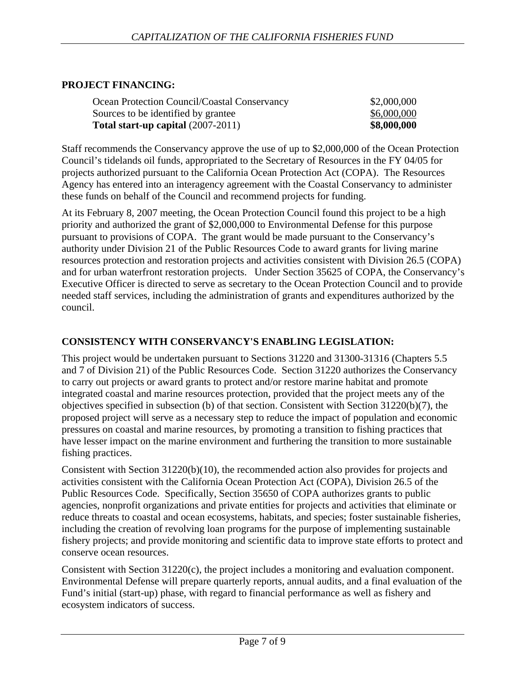## **PROJECT FINANCING:**

| Ocean Protection Council/Coastal Conservancy | \$2,000,000 |
|----------------------------------------------|-------------|
| Sources to be identified by grantee          | \$6,000,000 |
| Total start-up capital $(2007-2011)$         | \$8,000,000 |

Staff recommends the Conservancy approve the use of up to \$2,000,000 of the Ocean Protection Council's tidelands oil funds, appropriated to the Secretary of Resources in the FY 04/05 for projects authorized pursuant to the California Ocean Protection Act (COPA). The Resources Agency has entered into an interagency agreement with the Coastal Conservancy to administer these funds on behalf of the Council and recommend projects for funding.

At its February 8, 2007 meeting, the Ocean Protection Council found this project to be a high priority and authorized the grant of \$2,000,000 to Environmental Defense for this purpose pursuant to provisions of COPA. The grant would be made pursuant to the Conservancy's authority under Division 21 of the Public Resources Code to award grants for living marine resources protection and restoration projects and activities consistent with Division 26.5 (COPA) and for urban waterfront restoration projects. Under Section 35625 of COPA, the Conservancy's Executive Officer is directed to serve as secretary to the Ocean Protection Council and to provide needed staff services, including the administration of grants and expenditures authorized by the council.

### **CONSISTENCY WITH CONSERVANCY'S ENABLING LEGISLATION:**

This project would be undertaken pursuant to Sections 31220 and 31300-31316 (Chapters 5.5 and 7 of Division 21) of the Public Resources Code. Section 31220 authorizes the Conservancy to carry out projects or award grants to protect and/or restore marine habitat and promote integrated coastal and marine resources protection, provided that the project meets any of the objectives specified in subsection (b) of that section. Consistent with Section 31220(b)(7), the proposed project will serve as a necessary step to reduce the impact of population and economic pressures on coastal and marine resources, by promoting a transition to fishing practices that have lesser impact on the marine environment and furthering the transition to more sustainable fishing practices.

Consistent with Section 31220(b)(10), the recommended action also provides for projects and activities consistent with the California Ocean Protection Act (COPA), Division 26.5 of the Public Resources Code. Specifically, Section 35650 of COPA authorizes grants to public agencies, nonprofit organizations and private entities for projects and activities that eliminate or reduce threats to coastal and ocean ecosystems, habitats, and species; foster sustainable fisheries, including the creation of revolving loan programs for the purpose of implementing sustainable fishery projects; and provide monitoring and scientific data to improve state efforts to protect and conserve ocean resources.

Consistent with Section 31220(c), the project includes a monitoring and evaluation component. Environmental Defense will prepare quarterly reports, annual audits, and a final evaluation of the Fund's initial (start-up) phase, with regard to financial performance as well as fishery and ecosystem indicators of success.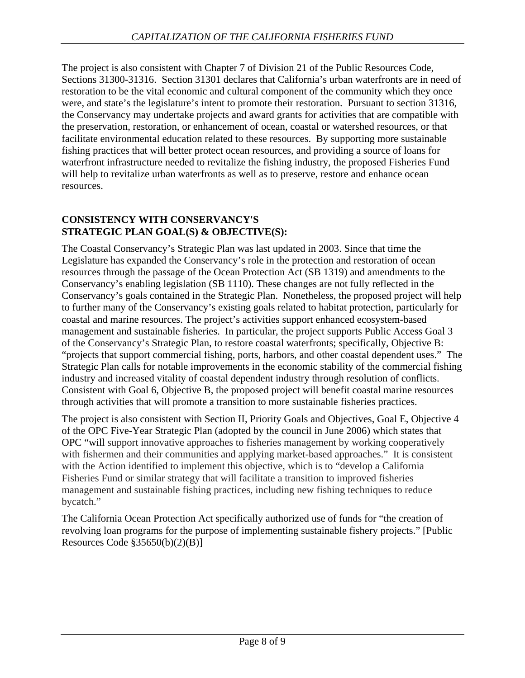The project is also consistent with Chapter 7 of Division 21 of the Public Resources Code, Sections 31300-31316. Section 31301 declares that California's urban waterfronts are in need of restoration to be the vital economic and cultural component of the community which they once were, and state's the legislature's intent to promote their restoration. Pursuant to section 31316, the Conservancy may undertake projects and award grants for activities that are compatible with the preservation, restoration, or enhancement of ocean, coastal or watershed resources, or that facilitate environmental education related to these resources. By supporting more sustainable fishing practices that will better protect ocean resources, and providing a source of loans for waterfront infrastructure needed to revitalize the fishing industry, the proposed Fisheries Fund will help to revitalize urban waterfronts as well as to preserve, restore and enhance ocean resources.

### **CONSISTENCY WITH CONSERVANCY'S STRATEGIC PLAN GOAL(S) & OBJECTIVE(S):**

The Coastal Conservancy's Strategic Plan was last updated in 2003. Since that time the Legislature has expanded the Conservancy's role in the protection and restoration of ocean resources through the passage of the Ocean Protection Act (SB 1319) and amendments to the Conservancy's enabling legislation (SB 1110). These changes are not fully reflected in the Conservancy's goals contained in the Strategic Plan. Nonetheless, the proposed project will help to further many of the Conservancy's existing goals related to habitat protection, particularly for coastal and marine resources. The project's activities support enhanced ecosystem-based management and sustainable fisheries. In particular, the project supports Public Access Goal 3 of the Conservancy's Strategic Plan, to restore coastal waterfronts; specifically, Objective B: "projects that support commercial fishing, ports, harbors, and other coastal dependent uses." The Strategic Plan calls for notable improvements in the economic stability of the commercial fishing industry and increased vitality of coastal dependent industry through resolution of conflicts. Consistent with Goal 6, Objective B, the proposed project will benefit coastal marine resources through activities that will promote a transition to more sustainable fisheries practices.

The project is also consistent with Section II, Priority Goals and Objectives, Goal E, Objective 4 of the OPC Five-Year Strategic Plan (adopted by the council in June 2006) which states that OPC "will support innovative approaches to fisheries management by working cooperatively with fishermen and their communities and applying market-based approaches." It is consistent with the Action identified to implement this objective, which is to "develop a California Fisheries Fund or similar strategy that will facilitate a transition to improved fisheries management and sustainable fishing practices, including new fishing techniques to reduce bycatch."

The California Ocean Protection Act specifically authorized use of funds for "the creation of revolving loan programs for the purpose of implementing sustainable fishery projects." [Public Resources Code §35650(b)(2)(B)]